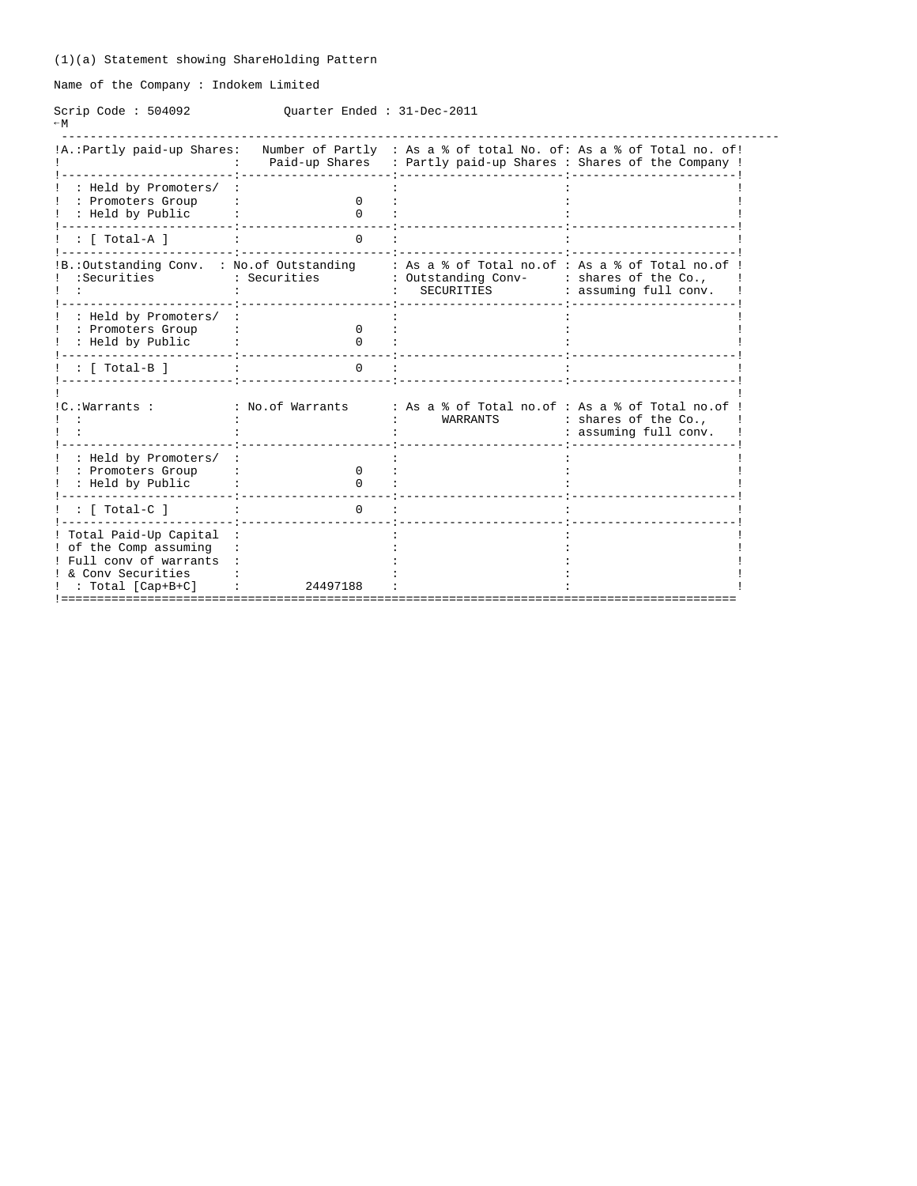Name of the Company : Indokem Limited

Scrip Code : 504092 Quarter Ended : 31-Dec-2011  $-M$ 

| !A.: Partly paid-up Shares:                                                                                                       |                   | Number of Partly : As a % of total No. of: As a % of Total no. of!<br>Paid-up Shares : Partly paid-up Shares : Shares of the Company ! |                                               |
|-----------------------------------------------------------------------------------------------------------------------------------|-------------------|----------------------------------------------------------------------------------------------------------------------------------------|-----------------------------------------------|
| : Held by Promoters/<br>: Promoters Group<br>: Held by Public                                                                     | 0<br><sup>n</sup> |                                                                                                                                        |                                               |
| $:$ [ Total-A ]                                                                                                                   | <sup>n</sup>      |                                                                                                                                        |                                               |
| IB.: Outstanding Conv. : No. of Outstanding<br>:Securities                                                                        | : Securities      | : As a % of Total no.of : As a % of Total no.of<br>: Outstanding Conv-<br>SECURITIES                                                   | : shares of the Co.,<br>: assuming full conv. |
| : Held by Promoters/<br>: Promoters Group<br>: Held by Public                                                                     | <sup>0</sup>      |                                                                                                                                        |                                               |
| : [ Total-B ]                                                                                                                     |                   |                                                                                                                                        |                                               |
| !C.:Warrants:                                                                                                                     | : No.of Warrants  | : As a % of Total no.of : As a % of Total no.of<br>WARRANTS                                                                            | : shares of the Co.,<br>: assuming full conv. |
| : Held by Promoters/<br>: Promoters Group<br>: Held by Public                                                                     | <sup>0</sup>      |                                                                                                                                        |                                               |
| $:$ [ Total-C ]                                                                                                                   | $\Omega$          |                                                                                                                                        |                                               |
| ! Total Paid-Up Capital<br>! of the Comp assuming<br>! Full conv of warrants<br>! & Conv Securities<br>$: \text{Total [Cap+B+C]}$ | 24497188          |                                                                                                                                        |                                               |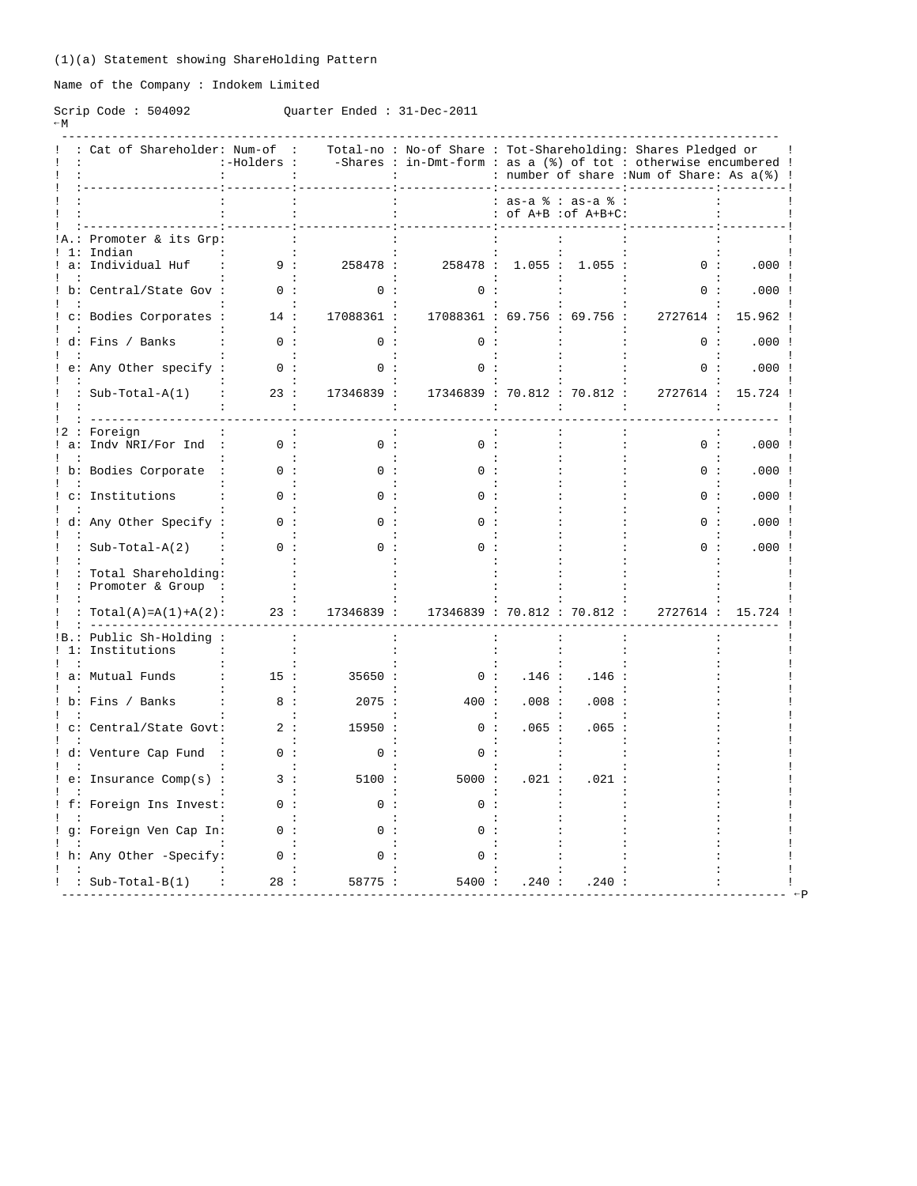Name of the Company : Indokem Limited

## Scrip Code : 504092 Quarter Ended : 31-Dec-2011  $-W$

|       | : Cat of Shareholder: Num-of                | :-Holders :    |              | Total-no: No-of Share: Tot-Shareholding: Shares Pledged or<br>-Shares : in-Dmt-form : as a $(%)$ of tot : otherwise encumbered ! |                                           |        | : number of share :Num of Share: As a(%) ! |        |
|-------|---------------------------------------------|----------------|--------------|----------------------------------------------------------------------------------------------------------------------------------|-------------------------------------------|--------|--------------------------------------------|--------|
|       |                                             |                |              |                                                                                                                                  | : as-a % : as-a %<br>: of A+B : of A+B+C: |        |                                            |        |
|       | Promoter & its Grp:<br>Indian               |                |              |                                                                                                                                  |                                           |        |                                            |        |
| $a$ : | Individual Huf                              | 9:             | 258478 :     | 258478 :                                                                                                                         | 1.055:                                    | 1.055: | 0:                                         | .000:  |
|       | b: Central/State Gov :                      | n :            | <sup>n</sup> | <sup>n</sup>                                                                                                                     |                                           |        | $\cap$                                     | .000:  |
|       | c: Bodies Corporates :                      | 14:            | 17088361 :   | 17088361 : 69.756 : 69.756 :                                                                                                     |                                           |        | 2727614 :                                  | 15.962 |
|       | ! d: Fins / Banks                           | 0:             | 0:           | 0:                                                                                                                               |                                           |        | 0:                                         | .000:  |
|       | e: Any Other specify :                      | ი :            | ი :          | $\Omega$                                                                                                                         |                                           |        | 0:                                         | .000:  |
|       | : Sub-Total-A(1)                            | 23:            | 17346839 :   | 17346839 : 70.812 : 70.812 :                                                                                                     |                                           |        | 2727614 :                                  | 15.724 |
| $a$ : | Foreign<br>Indv NRI/For Ind                 | 0:             | 0:           | 0:                                                                                                                               |                                           |        | 0:                                         | .000:  |
|       | b: Bodies Corporate                         | 0:             | n :          |                                                                                                                                  |                                           |        | 0:                                         | .000:  |
|       | c: Institutions                             |                |              |                                                                                                                                  |                                           |        | $\cap$                                     | .000:  |
|       | d: Any Other Specify :                      | 0:             | ი :          |                                                                                                                                  |                                           |        | ი :                                        | .000:  |
|       | : $Sub-Total-A(2)$                          | 0:             | ი :          | ი :                                                                                                                              |                                           |        | ი :                                        | .000:  |
|       | : Total Shareholding:<br>: Promoter & Group |                |              |                                                                                                                                  |                                           |        |                                            |        |
|       | $Total(A) = A(1) + A(2)$ :                  | 23:            | 17346839 :   | 17346839 : 70.812 : 70.812 :                                                                                                     |                                           |        | 2727614 :                                  | 15.724 |
| ! 1:  | Public Sh-Holding:<br>Institutions          | $\cdot$        |              |                                                                                                                                  |                                           |        |                                            |        |
|       | a: Mutual Funds                             | 15:            | 35650:       | 0:                                                                                                                               | .146:                                     | .146:  |                                            |        |
|       | b: Fins / Banks                             | 8:             | 2075:        | 400:                                                                                                                             | .008:                                     | .008   |                                            |        |
|       | c: Central/State Govt:                      | 2:             | 15950:       | 0:                                                                                                                               | .065:                                     | .065:  |                                            |        |
|       | ! d: Venture Cap Fund                       | $\cdot$<br>0 : | 0:           | 0:                                                                                                                               |                                           |        |                                            |        |
|       | $e:$ Insurance Comp(s) :                    | 3:             | 5100:        | 5000:                                                                                                                            | .021:                                     | .021   |                                            |        |
|       | ! f: Foreign Ins Invest:                    | n :            | ი :          | ი :                                                                                                                              |                                           |        |                                            |        |
|       | g: Foreign Ven Cap In:                      | 0:             | n :          | O.                                                                                                                               |                                           |        |                                            |        |
|       |                                             |                |              |                                                                                                                                  |                                           |        |                                            |        |
|       | h: Any Other -Specify:                      | 0:             | ი :          | ი :                                                                                                                              |                                           |        |                                            |        |
|       | : $Sub-Total-B(1)$                          | 28:            | 58775:       | 5400 :                                                                                                                           | .240:                                     | .240:  |                                            |        |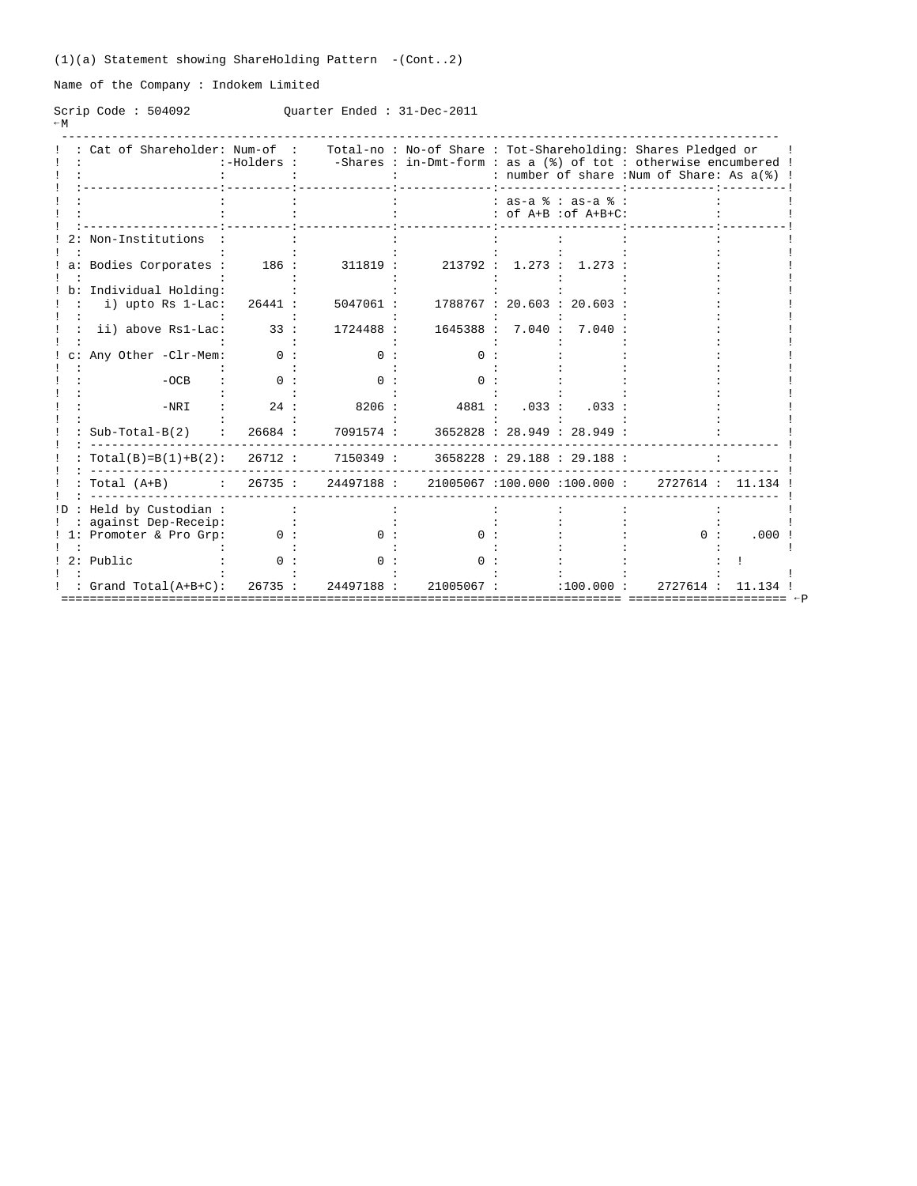(1)(a) Statement showing ShareHolding Pattern -(Cont..2)

Name of the Company : Indokem Limited

Scrip Code : 504092 Quarter Ended : 31-Dec-2011  $-W$ 

| : Cat of Shareholder: Num-of : Total-no : No-of Share : Tot-Shareholding: Shares Pledged or | :-Holders : |           |            |        |                                               | -Shares : in-Dmt-form : as a (%) of tot : otherwise encumbered !<br>: number of share : Num of Share: As a(%) ! |                  |
|---------------------------------------------------------------------------------------------|-------------|-----------|------------|--------|-----------------------------------------------|-----------------------------------------------------------------------------------------------------------------|------------------|
|                                                                                             |             |           |            |        | $: as-a$ $: as-a$ $:$<br>: of A+B : of A+B+C: |                                                                                                                 |                  |
| Non-Institutions                                                                            |             |           |            |        |                                               |                                                                                                                 |                  |
| a: Bodies Corporates :                                                                      | 186:        | 311819 :  | 213792 :   | 1.273: | 1.273                                         |                                                                                                                 |                  |
| Individual Holding:<br>i) upto Rs 1-Lac:                                                    | 26441 :     | 5047061 : |            |        | 1788767 : 20.603 : 20.603                     |                                                                                                                 |                  |
| ii) above Rs1-Lac:                                                                          | 33:         | 1724488 : | 1645388 :  | 7.040: | 7.040                                         |                                                                                                                 |                  |
| Any Other -Clr-Mem:                                                                         | ი :         |           |            |        |                                               |                                                                                                                 |                  |
| $-OCB$                                                                                      | $\cap$ :    | $\cap$    | n :        |        |                                               |                                                                                                                 |                  |
| $-NRI$                                                                                      | 24:         | 8206:     | 4881 :     | .033:  | .033                                          |                                                                                                                 |                  |
| $Sub-Total-B(2)$                                                                            | 26684 :     | 7091574 : |            |        | 3652828 : 28.949 : 28.949 :                   |                                                                                                                 |                  |
| $Total(B)=B(1)+B(2): 26712:$                                                                |             | 7150349 : |            |        | 3658228 : 29.188 : 29.188 :                   |                                                                                                                 |                  |
| Total (A+B) : 26735: 24497188: 21005067:100.000:100.000:                                    |             |           |            |        |                                               |                                                                                                                 | 2727614 : 11.134 |
| Held by Custodian :                                                                         |             |           |            |        |                                               |                                                                                                                 |                  |
| against Dep-Receip:<br>Promoter & Pro Grp:                                                  | 0:          |           | 0 :        |        |                                               | n :                                                                                                             | .000             |
| 2: Public                                                                                   |             |           |            |        |                                               |                                                                                                                 |                  |
| : Grand Total(A+B+C): 26735 :                                                               |             | 24497188: | 21005067 : |        | :100.000:                                     | 2727614 :                                                                                                       | 11.13            |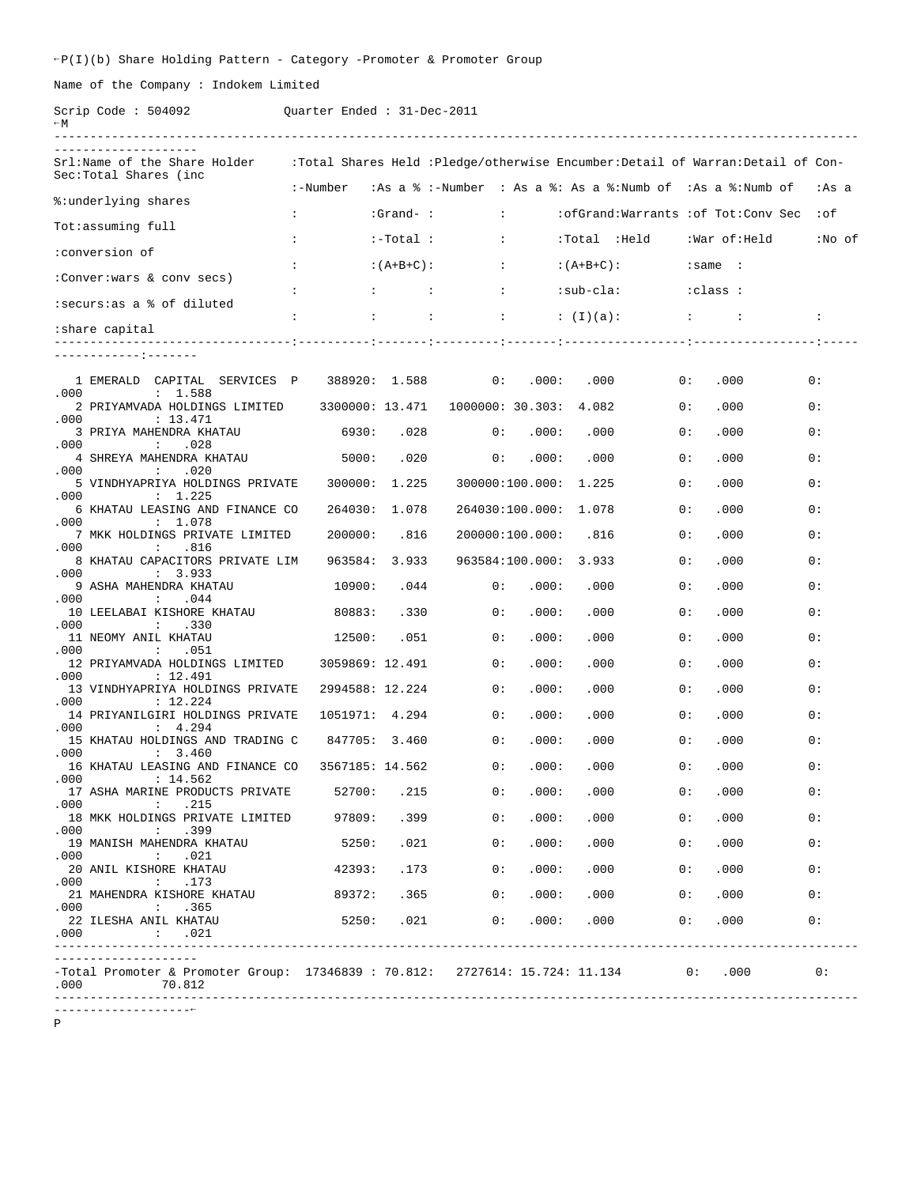$\texttt{P}(I)(b)$  Share Holding Pattern - Category -Promoter & Promoter Group

Name of the Company : Indokem Limited

Scrip Code : 504092 Quarter Ended : 31-Dec-2011

| $\sim$ M                                                                                                                                           |                                      |                                        |                                   |                         |                                                                               |     |                              |           |
|----------------------------------------------------------------------------------------------------------------------------------------------------|--------------------------------------|----------------------------------------|-----------------------------------|-------------------------|-------------------------------------------------------------------------------|-----|------------------------------|-----------|
| Srl:Name of the Share Holder<br>Sec:Total Shares (inc                                                                                              |                                      |                                        |                                   |                         | :Total Shares Held :Pledge/otherwise Encumber:Detail of Warran:Detail of Con- |     |                              |           |
| %:underlying shares                                                                                                                                | :-Number                             |                                        |                                   |                         | :As a % :-Number : As a %: As a %:Numb of :As a %:Numb of :As a               |     |                              |           |
|                                                                                                                                                    | $\ddot{\phantom{0}}$                 | :Grand- :                              |                                   | <b>Carl Corporation</b> | :ofGrand:Warrants :of Tot:Conv Sec                                            |     |                              | $:$ of    |
| Tot:assuming full                                                                                                                                  | $\ddot{\phantom{0}}$                 | $:-Total:$                             | $\sim$ 100 $\pm$                  |                         | :Total :Held :War of:Held                                                     |     |                              | :No of    |
| :conversion of                                                                                                                                     | $\ddot{\phantom{a}}$                 | $:(A+B+C):$                            | <b>Contract Contract Contract</b> |                         | $:(A+B+C):$                                                                   |     | :same :                      |           |
| :Conver:wars & conv secs)                                                                                                                          |                                      | <b>Experience of Excellent Control</b> | <b>Contract</b>                   |                         | :sub-cla:                                                                     |     | class : :                    |           |
| :securs:as a % of diluted                                                                                                                          |                                      |                                        |                                   |                         |                                                                               |     |                              |           |
| share capital:                                                                                                                                     | $\mathbf{L}$<br>$\ddot{\phantom{0}}$ |                                        |                                   |                         | and the state of the state of the                                             |     |                              | $\sim$ 1. |
|                                                                                                                                                    |                                      |                                        |                                   |                         |                                                                               |     |                              |           |
| 1 EMERALD CAPITAL SERVICES P                                                                                                                       | 388920: 1.588                        |                                        | 0 :                               | .000:                   | .000                                                                          | 0 : | .000                         | 0 :       |
| .000<br>: 1.588<br>2 PRIYAMVADA HOLDINGS LIMITED                                                                                                   | 3300000: 13.471                      |                                        | 1000000: 30.303: 4.082            |                         |                                                                               | 0 : | .000                         | 0 :       |
| .000<br>: 13.471<br>3 PRIYA MAHENDRA KHATAU                                                                                                        | 6930:                                | .028                                   | 0:                                | .000:                   | .000                                                                          | 0:  | .000                         | 0 :       |
| .028<br>.000<br>$\cdot$ :<br>4 SHREYA MAHENDRA KHATAU                                                                                              | 5000:                                | .020                                   | 0:                                | .000:                   | .000                                                                          | 0 : | .000                         | 0 :       |
| .000<br>$\ddot{\phantom{0}}$<br>.020<br>5 VINDHYAPRIYA HOLDINGS PRIVATE                                                                            | 300000: 1.225                        |                                        |                                   | 300000:100.000: 1.225   |                                                                               | 0 : | .000                         | 0 :       |
| .000<br>: 1.225<br>6 KHATAU LEASING AND FINANCE CO                                                                                                 | 264030: 1.078                        |                                        |                                   | 264030:100.000: 1.078   |                                                                               | 0 : | .000                         | 0 :       |
| .000<br>: 1.078<br>7 MKK HOLDINGS PRIVATE LIMITED                                                                                                  | 200000:                              | .816                                   |                                   | 200000:100.000:         | .816                                                                          | 0 : | .000                         | 0 :       |
| .000<br>$\sim$ 100 $\sim$<br>.816<br>8 KHATAU CAPACITORS PRIVATE LIM                                                                               | 963584: 3.933                        |                                        |                                   | 963584:100.000: 3.933   |                                                                               | 0 : | .000                         | 0 :       |
| .000<br>: 3.933<br>9 ASHA MAHENDRA KHATAU                                                                                                          | 10900:                               | .044                                   | 0 :                               | .000:                   | .000                                                                          | 0 : | .000                         | 0 :       |
| .000<br>.044<br>$\ddot{\phantom{0}}$<br>10 LEELABAI KISHORE KHATAU                                                                                 | 80883:                               | .330                                   | 0:                                | .000:                   | .000                                                                          | 0 : | .000                         | 0 :       |
| .000<br>.330<br>$\cdot$ :<br>11 NEOMY ANIL KHATAU                                                                                                  | 12500:                               | .051                                   | 0:                                | .000:                   | .000                                                                          | 0 : | .000                         | 0 :       |
| .000<br>$\ddot{\cdot}$<br>.051<br>12 PRIYAMVADA HOLDINGS LIMITED                                                                                   | 3059869: 12.491                      |                                        | 0 :                               | .000:                   | .000                                                                          | 0 : | .000                         | 0 :       |
| .000<br>: 12.491<br>13 VINDHYAPRIYA HOLDINGS PRIVATE                                                                                               | 2994588: 12.224                      |                                        | 0:                                | .000:                   | .000                                                                          | 0 : | .000                         | 0 :       |
| .000<br>: 12.224<br>14 PRIYANILGIRI HOLDINGS PRIVATE                                                                                               | 1051971: 4.294                       |                                        | 0 :                               | .000:                   | .000                                                                          | 0 : | .000                         | 0 :       |
| .000<br>: 4.294<br>15 KHATAU HOLDINGS AND TRADING C                                                                                                | 847705: 3.460                        |                                        | 0 :                               | .000:                   | .000                                                                          | 0 : | .000                         | 0 :       |
| .000<br>: 3.460<br>16 KHATAU LEASING AND FINANCE CO                                                                                                | 3567185: 14.562                      |                                        | 0:                                | .000:                   | .000                                                                          | 0 : | .000                         | 0 :       |
| .000<br>: 14.562<br>17 ASHA MARINE PRODUCTS PRIVATE                                                                                                |                                      | 52700: .215                            | 0:                                | .000:                   | .000                                                                          | 0:  | .000                         |           |
| .000<br>.215<br>$\mathcal{L}$<br>18 MKK HOLDINGS PRIVATE LIMITED 97809:                                                                            |                                      |                                        | .399<br>0:                        | .000:                   | .000                                                                          | 0:  | .000                         | 0 :       |
| .000<br>$\cdot$ .399<br>19 MANISH MAHENDRA KHATAU                                                                                                  | 5250:                                |                                        | 0:<br>.021                        |                         | .000: .000                                                                    |     | 0: 000                       | 0 :       |
| .000<br>.021<br>$\sim$ 100 $\sim$<br>20 ANIL KISHORE KHATAU                                                                                        | 42393:                               |                                        | .173<br>0:                        |                         | .000: .000                                                                    | 0:  | .000                         | 0:        |
| .000<br>.173<br><b>Contract</b><br>21 MAHENDRA KISHORE KHATAU                                                                                      | 89372:                               |                                        | .365<br>0:                        |                         | .000: .000                                                                    | 0:  | .000                         | 0 :       |
| .000<br>$\cdot$ $\cdot$ $\cdot$ 365<br>22 ILESHA ANIL KHATAU<br>.000<br>$\cdot$ $.021$                                                             |                                      |                                        |                                   |                         | 5250: .021 0: .000: .000                                                      | 0:  | .000                         | 0 :       |
| ________________<br>-Total Promoter & Promoter Group: 17346839 : 70.812: 2727614: 15.724: 11.134 0: .000<br>.000<br>70.812<br>____________________ |                                      |                                        |                                   |                         |                                                                               |     | $\overline{\phantom{a}}$ 0 : |           |

P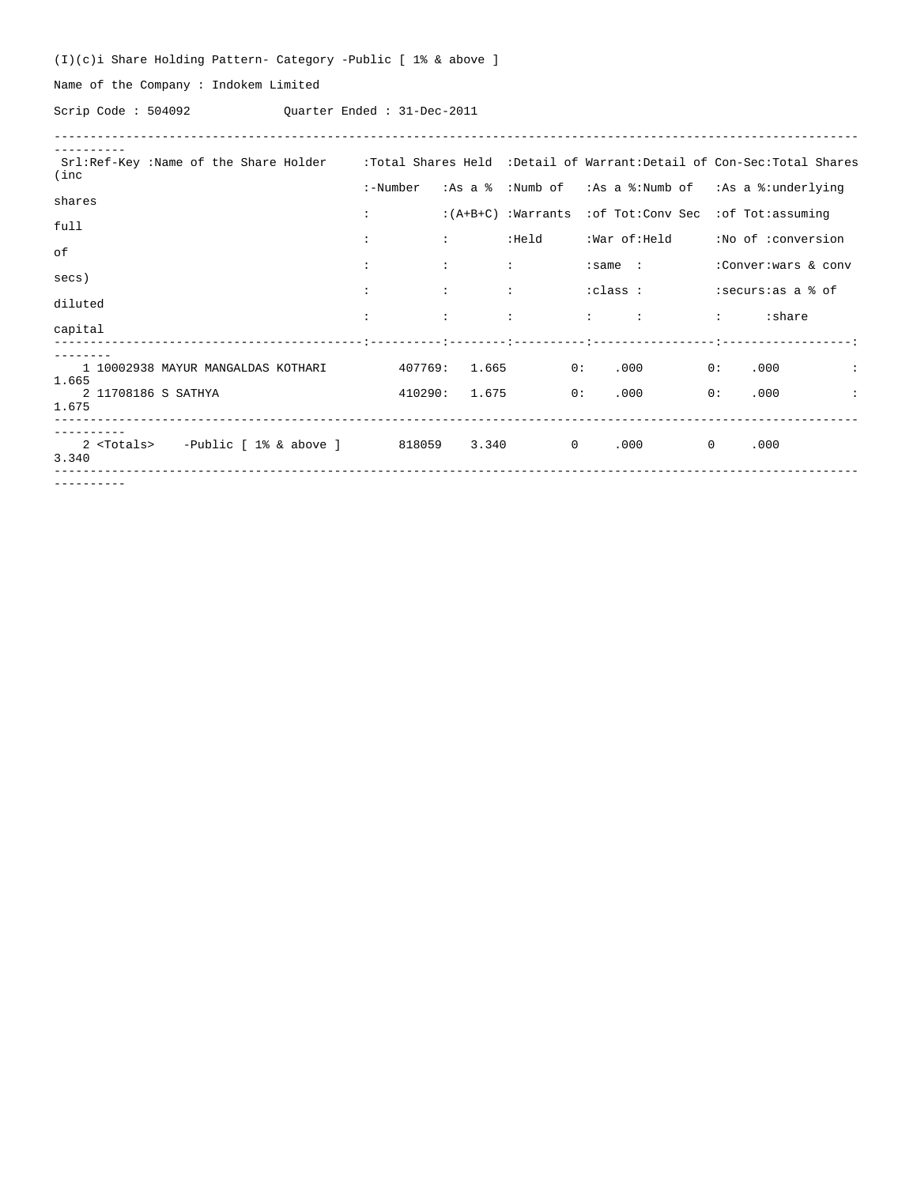(I)(c)i Share Holding Pattern- Category -Public [ 1% & above ]

Name of the Company : Indokem Limited

Scrip Code : 504092 Quarter Ended : 31-Dec-2011

| Srl:Ref-Key :Name of the Share Holder :Total Shares Held :Detail of Warrant:Detail of Con-Sec:Total Shares<br>(inc |                      |                                                             |                               |                                                                                                                                                                                                                                                                                                                   |                                                          |
|--------------------------------------------------------------------------------------------------------------------|----------------------|-------------------------------------------------------------|-------------------------------|-------------------------------------------------------------------------------------------------------------------------------------------------------------------------------------------------------------------------------------------------------------------------------------------------------------------|----------------------------------------------------------|
|                                                                                                                    | :-Number             |                                                             |                               |                                                                                                                                                                                                                                                                                                                   | :As a % :Numb of :As a %:Numb of :As a %:underlying      |
| shares                                                                                                             | $\ddot{\phantom{a}}$ |                                                             |                               | $:(A+B+C)$ : Warrants : of Tot: Conv Sec : of Tot: assuming                                                                                                                                                                                                                                                       |                                                          |
| full                                                                                                               |                      |                                                             |                               |                                                                                                                                                                                                                                                                                                                   |                                                          |
| οf                                                                                                                 | $\ddot{\phantom{a}}$ | <b>Experience</b>                                           | :Held                         |                                                                                                                                                                                                                                                                                                                   | :War of:Held :No of :conversion                          |
|                                                                                                                    | $\ddot{\phantom{a}}$ | $\mathcal{L}$<br><b>Contract Contract Contract Contract</b> |                               | $: \mathsf{same}$ :                                                                                                                                                                                                                                                                                               | :Conver: wars & conv                                     |
| secs)                                                                                                              |                      |                                                             | design and the company of the |                                                                                                                                                                                                                                                                                                                   |                                                          |
| diluted                                                                                                            | $\mathbf{r}$         | $\mathcal{L}$                                               | $\mathcal{L}$                 | $\vdots$ : $\vdots$ : $\vdots$ : $\vdots$ : $\vdots$ : $\vdots$ : $\vdots$ : $\vdots$ : $\vdots$ : $\vdots$ : $\vdots$ : $\vdots$ : $\vdots$ : $\vdots$ : $\vdots$ : $\vdots$ : $\vdots$ : $\vdots$ : $\vdots$ : $\vdots$ : $\vdots$ : $\vdots$ : $\vdots$ : $\vdots$ : $\vdots$ : $\vdots$ : $\vdots$ : $\vdots$ |                                                          |
| capital                                                                                                            |                      |                                                             |                               |                                                                                                                                                                                                                                                                                                                   |                                                          |
|                                                                                                                    |                      |                                                             |                               |                                                                                                                                                                                                                                                                                                                   |                                                          |
| 1 10002938 MAYUR MANGALDAS KOTHARI 407769: 1.665                                                                   |                      |                                                             |                               | $000$ 0: 0.000<br>0:                                                                                                                                                                                                                                                                                              | <b>Contract Contract</b>                                 |
| 1.665<br>2 11708186 S SATHYA<br>1.675                                                                              |                      |                                                             | 410290: 1.675<br>0:           | .000                                                                                                                                                                                                                                                                                                              | 0:<br>.000<br><b>Contract Contract Contract Contract</b> |
| 2 <totals> -Public [ 1% &amp; above ] 818059 3.340 0<br/>3.340</totals>                                            |                      |                                                             |                               | $.000$ 0                                                                                                                                                                                                                                                                                                          | .000                                                     |
|                                                                                                                    |                      |                                                             |                               |                                                                                                                                                                                                                                                                                                                   |                                                          |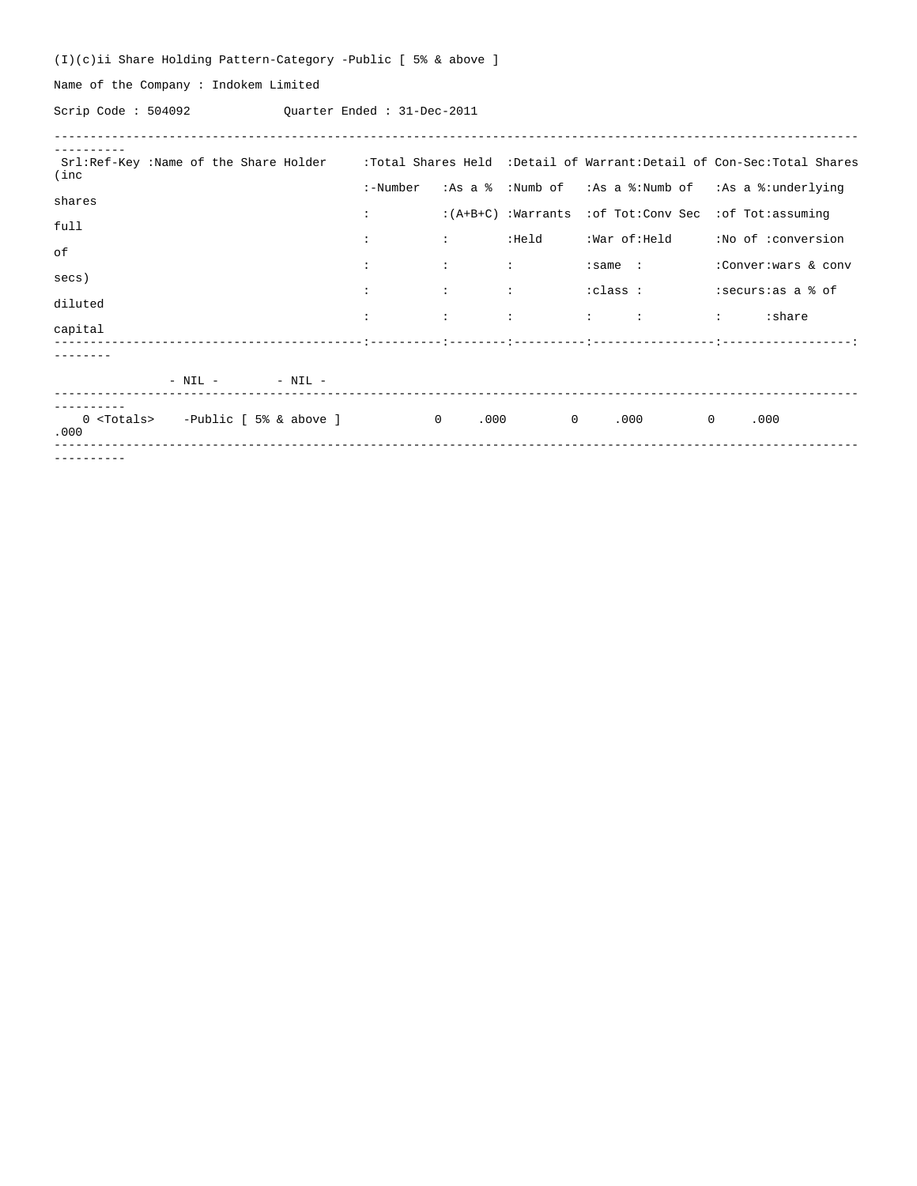(I)(c)ii Share Holding Pattern-Category -Public [ 5% & above ]

Name of the Company : Indokem Limited

Scrip Code : 504092 Quarter Ended : 31-Dec-2011

| Srl:Ref-Key :Name of the Share Holder :Total Shares Held :Detail of Warrant:Detail of Con-Sec:Total Shares<br>(inc |                      |               |                        |                                                   |                                                                                           |
|--------------------------------------------------------------------------------------------------------------------|----------------------|---------------|------------------------|---------------------------------------------------|-------------------------------------------------------------------------------------------|
|                                                                                                                    | :-Number             |               |                        |                                                   | :As a $\frac{1}{8}$ :Numb of :As a $\frac{1}{8}$ :Numb of :As a $\frac{1}{8}$ :underlying |
| shares                                                                                                             | $\mathcal{L}$        |               | $:(A+B+C)$ : Warrants  | :of Tot:Conv Sec :of Tot:assuming                 |                                                                                           |
| full                                                                                                               | $\ddot{\phantom{a}}$ | diam'r.       | :Held                  | :War of:Held                                      | :No of :conversion                                                                        |
| of                                                                                                                 | $\ddot{\phantom{a}}$ | $\mathcal{L}$ | <b>British</b>         | $: \mathsf{same}$ :                               | :Conver: wars & conv                                                                      |
| secs)                                                                                                              | $\ddot{\phantom{a}}$ | $\mathbf{L}$  | $\sim 3\%$             | :class :                                          | :securs:as a % of                                                                         |
| diluted                                                                                                            | $\ddot{\phantom{a}}$ | $\mathbf{L}$  | $\sim 10^6$            | $\mathcal{A}$ and $\mathcal{A}$ and $\mathcal{A}$ | <b>Contract Contract</b><br>:share                                                        |
| capital                                                                                                            |                      |               |                        |                                                   |                                                                                           |
| $- - - - - - -$                                                                                                    |                      |               |                        |                                                   |                                                                                           |
| $-$ NIL $ -$ NIL $-$                                                                                               |                      |               |                        |                                                   |                                                                                           |
| 0 <totals> -Public [ 5% &amp; above ]<br/>.000</totals>                                                            | $\sim$ 0             |               | .000<br>$\overline{0}$ | .000                                              | $\overline{0}$<br>.000                                                                    |
|                                                                                                                    |                      |               |                        |                                                   |                                                                                           |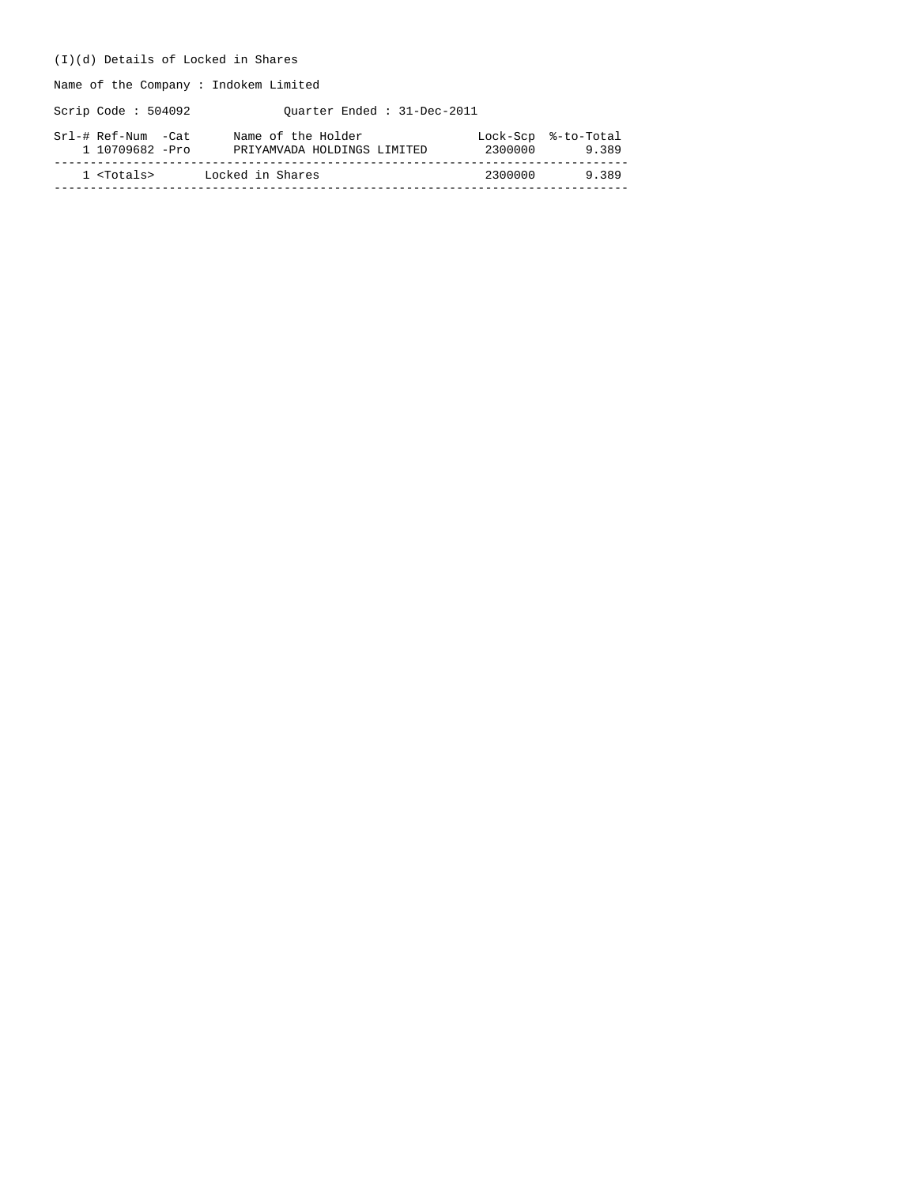## (I)(d) Details of Locked in Shares

Name of the Company : Indokem Limited

Scrip Code : 504092 Quarter Ended : 31-Dec-2011

| Srl-# Ref-Num -Cat  | Name of the Holder          | 2300000 | Lock-Scp %-to-Total |
|---------------------|-----------------------------|---------|---------------------|
| 1 10709682 -Pro     | PRIYAMVADA HOLDINGS LIMITED |         | 9.389               |
| 1 <totals></totals> | Locked in Shares            | 2300000 | 9389                |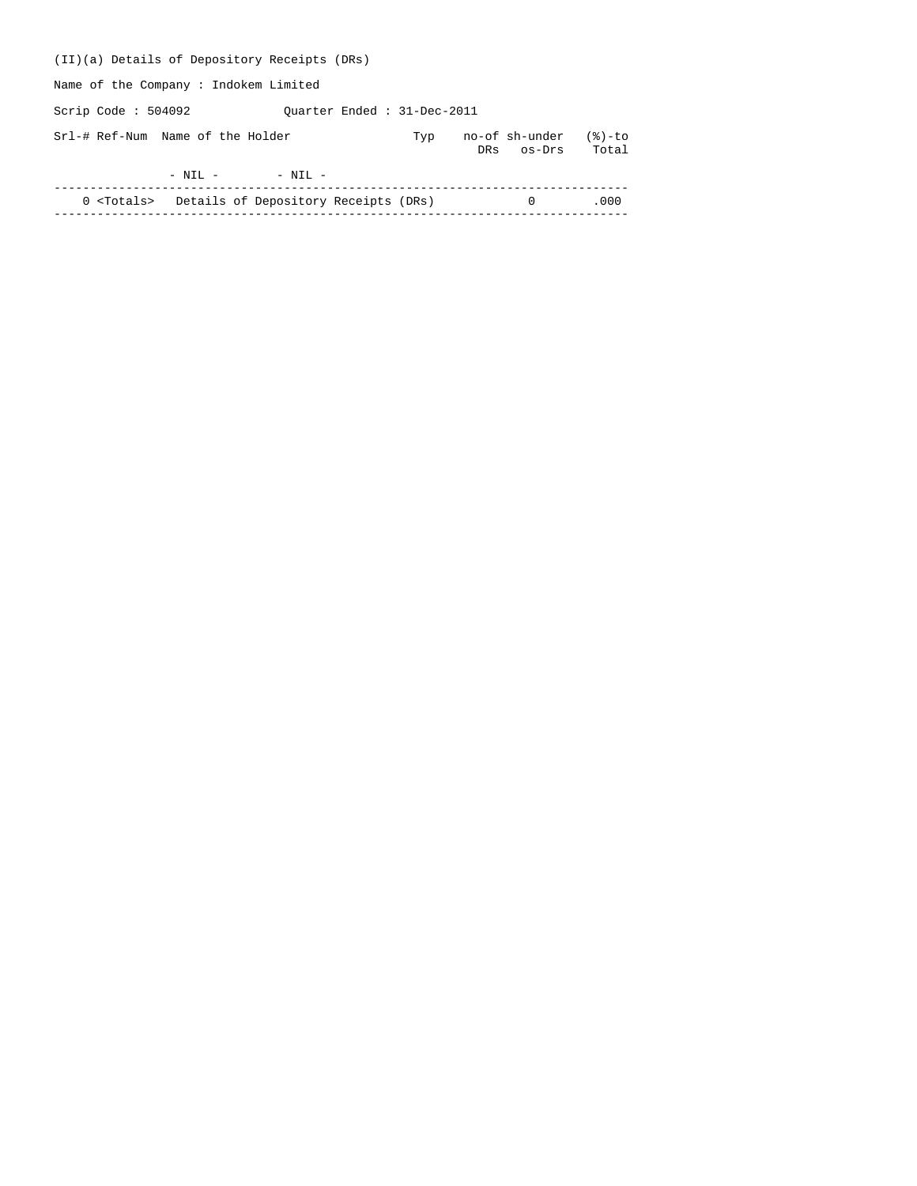| (II)(a) Details of Depository Receipts (DRs)             |                            |     |     |                          |                    |
|----------------------------------------------------------|----------------------------|-----|-----|--------------------------|--------------------|
| Name of the Company: Indokem Limited                     |                            |     |     |                          |                    |
| Scrip Code : $504092$                                    | Ouarter Ended: 31-Dec-2011 |     |     |                          |                    |
| Srl-# Ref-Num Name of the Holder                         |                            | Typ | DRs | no-of sh-under<br>os-Drs | $(8)-$ to<br>Total |
| $-$ NIL $-$                                              | $-$ NIL $-$                |     |     |                          |                    |
| 0 <totals> Details of Depository Receipts (DRs)</totals> |                            |     |     | $\Omega$                 | .000               |
|                                                          |                            |     |     |                          |                    |